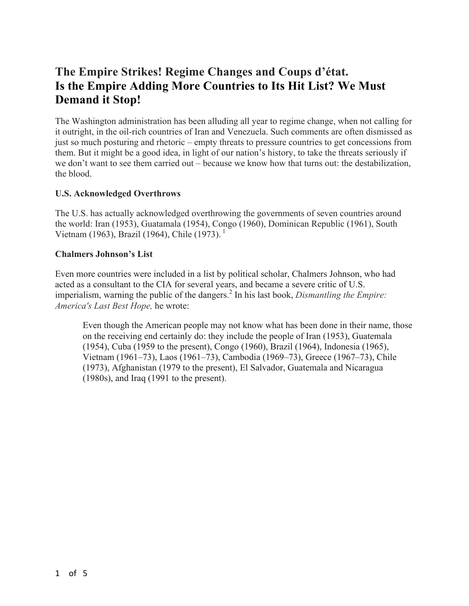## **The Empire Strikes! Regime Changes and Coups d'état. Is the Empire Adding More Countries to Its Hit List? We Must Demand it Stop!**

The Washington administration has been alluding all year to regime change, when not calling for it outright, in the oil-rich countries of Iran and Venezuela. Such comments are often dismissed as just so much posturing and rhetoric – empty threats to pressure countries to get concessions from them. But it might be a good idea, in light of our nation's history, to take the threats seriously if we don't want to see them carried out – because we know how that turns out: the destabilization, the blood.

## **U.S. Acknowledged Overthrows**

The U.S. has actually acknowledged overthrowing the governments of seven countries around the world: Iran (1953), Guatamala (1954), Congo (1960), Dominican Republic (1961), South Vietnam (1963), Brazil (1964), Chile (1973).  $^1$ 

## **Chalmers Johnson's List**

Even more countries were included in a list by political scholar, Chalmers Johnson, who had acted as a consultant to the CIA for several years, and became a severe critic of U.S. imperialism, warning the public of the dangers.<sup>2</sup> In his last book, *Dismantling the Empire: America's Last Best Hope,* he wrote:

Even though the American people may not know what has been done in their name, those on the receiving end certainly do: they include the people of Iran (1953), Guatemala (1954), Cuba (1959 to the present), Congo (1960), Brazil (1964), Indonesia (1965), Vietnam (1961–73), Laos (1961–73), Cambodia (1969–73), Greece (1967–73), Chile (1973), Afghanistan (1979 to the present), El Salvador, Guatemala and Nicaragua (1980s), and Iraq (1991 to the present).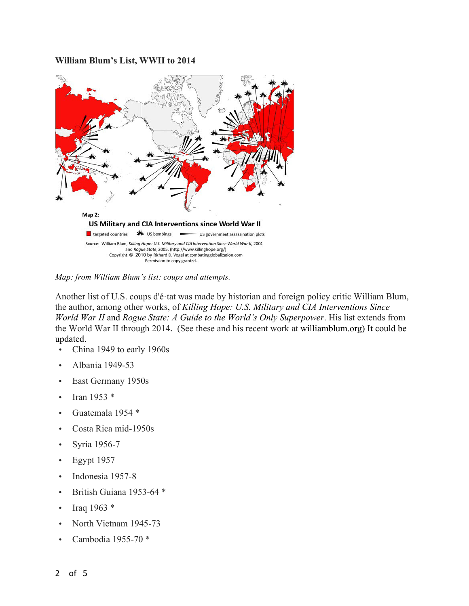## **William Blum's List, WWII to 2014**



*Map: from William Blum's list: coups and attempts.*

Another list of U.S. coups d'é·tat was made by historian and foreign policy critic William Blum, the author, among other works, of *Killing Hope: U.S. Military and CIA Interventions Since World War II* and *Rogue State: A Guide to the World's Only Superpower*. His list extends from the World War II through 2014. (See these and his recent work at williamblum.org) It could be updated.

- China 1949 to early 1960s
- Albania 1949-53
- East Germany 1950s
- Iran 1953  $*$
- Guatemala 1954 \*
- Costa Rica mid-1950s
- Syria 1956-7
- Egypt 1957
- Indonesia 1957-8
- British Guiana 1953-64 \*
- Iraq  $1963 *$
- North Vietnam 1945-73
- Cambodia 1955-70 \*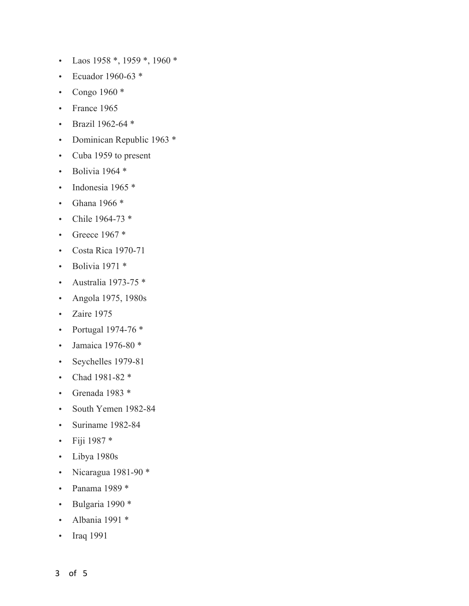- Laos 1958 \*, 1959 \*, 1960 \*
- Ecuador 1960-63 \*
- Congo 1960 \*
- France 1965
- Brazil 1962-64 \*
- Dominican Republic 1963 \*
- Cuba 1959 to present
- Bolivia 1964 $*$
- Indonesia 1965 \*
- Ghana 1966 \*
- Chile 1964-73 \*
- Greece  $1967*$
- Costa Rica 1970-71
- Bolivia  $1971$  \*
- Australia 1973-75 \*
- Angola 1975, 1980s
- Zaire 1975
- Portugal 1974-76 \*
- Jamaica 1976-80 \*
- Seychelles 1979-81
- Chad 1981-82 \*
- Grenada 1983 \*
- South Yemen 1982-84
- Suriname 1982-84
- Fiji 1987 \*
- Libya 1980s
- Nicaragua 1981-90 \*
- Panama 1989 \*
- Bulgaria 1990 \*
- Albania 1991 \*
- Iraq 1991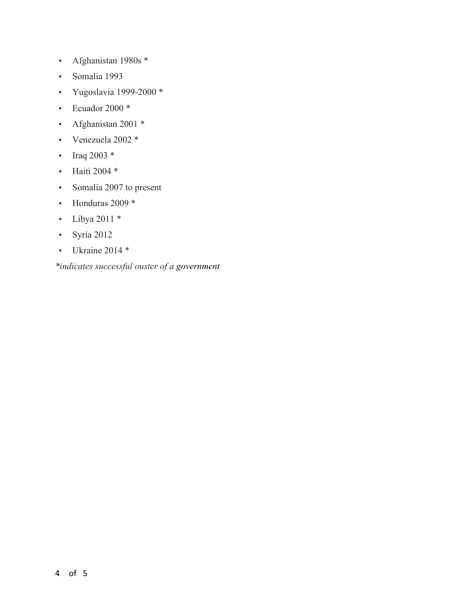- Afghanistan 1980s \*
- Somalia 1993
- Yugoslavia 1999-2000 \*
- Ecuador 2000 \*
- Afghanistan 2001 \*
- Venezuela 2002 \*
- Iraq 2003  $*$
- Haiti 2004 \*
- Somalia 2007 to present
- Honduras 2009 \*
- Libya 2011 \*
- Syria 2012
- Ukraine 2014 \*

*\*indicates successful ouster of a government*